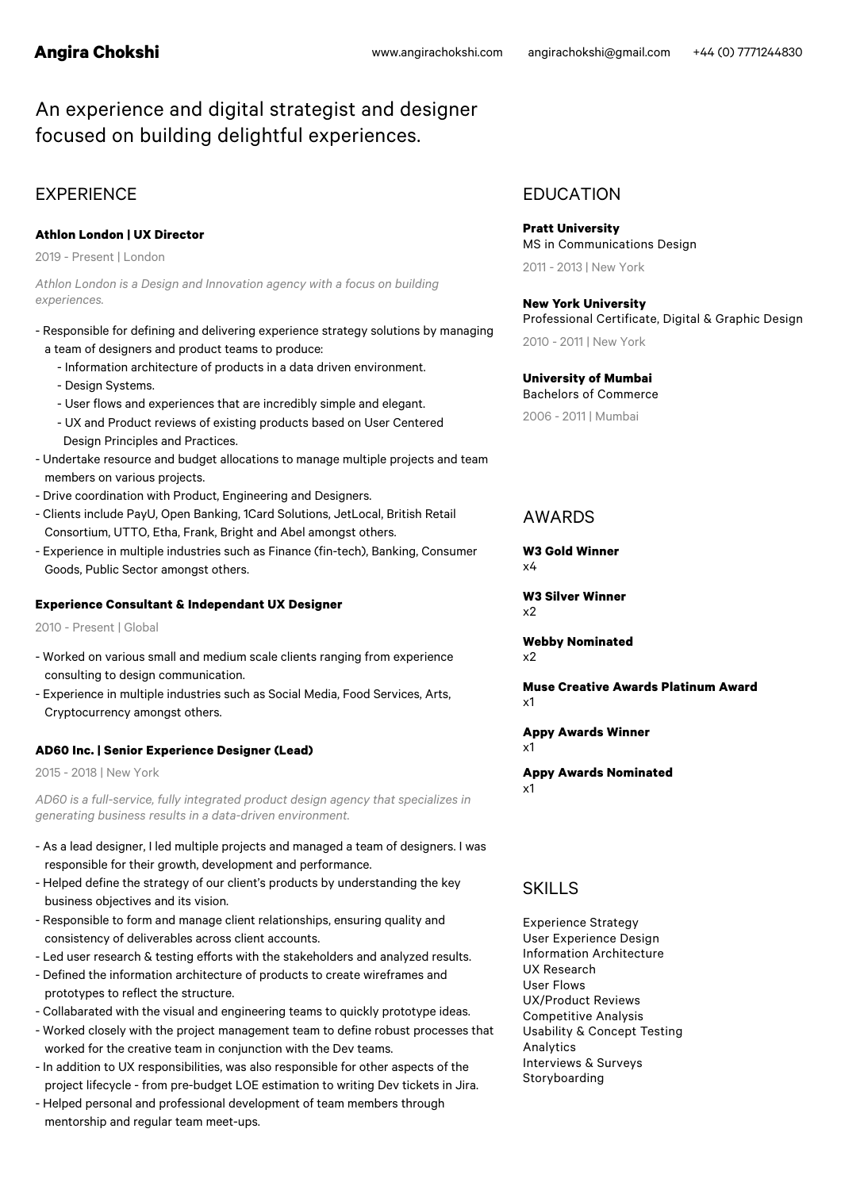# An experience and digital strategist and designer focused on building delightful experiences.

# EXPERIENCE EDUCATION

#### **Athlon London | UX Director**

2019 - Present | London

*Athlon London is a Design and Innovation agency with a focus on building experiences.*

- Responsible for defining and delivering experience strategy solutions by managing
	- a team of designers and product teams to produce:
		- Information architecture of products in a data driven environment.
		- Design Systems.
		- User flows and experiences that are incredibly simple and elegant.
		- UX and Product reviews of existing products based on User Centered Design Principles and Practices.
- Undertake resource and budget allocations to manage multiple projects and team members on various projects.
- Drive coordination with Product, Engineering and Designers.
- Clients include PayU, Open Banking, 1Card Solutions, JetLocal, British Retail Consortium, UTTO, Etha, Frank, Bright and Abel amongst others.
- Experience in multiple industries such as Finance (fin-tech), Banking, Consumer Goods, Public Sector amongst others.

#### **Experience Consultant & Independant UX Designer**

2010 - Present | Global

- Worked on various small and medium scale clients ranging from experience consulting to design communication.
- Experience in multiple industries such as Social Media, Food Services, Arts, Cryptocurrency amongst others.

#### **AD60 Inc. | Senior Experience Designer (Lead)**

2015 - 2018 | New York

*AD60 is a full-service, fully integrated product design agency that specializes in generating business results in a data-driven environment.*

- As a lead designer, I led multiple projects and managed a team of designers. I was responsible for their growth, development and performance.
- Helped define the strategy of our client's products by understanding the key business objectives and its vision.
- Responsible to form and manage client relationships, ensuring quality and consistency of deliverables across client accounts.
- Led user research & testing efforts with the stakeholders and analyzed results.
- Defined the information architecture of products to create wireframes and prototypes to reflect the structure.
- Collabarated with the visual and engineering teams to quickly prototype ideas.
- Worked closely with the project management team to define robust processes that worked for the creative team in conjunction with the Dev teams.
- In addition to UX responsibilities, was also responsible for other aspects of the project lifecycle - from pre-budget LOE estimation to writing Dev tickets in Jira.
- Helped personal and professional development of team members through mentorship and regular team meet-ups.

**Pratt University** MS in Communications Design 2011 - 2013 | New York

# **New York University**

Professional Certificate, Digital & Graphic Design 2010 - 2011 | New York

**University of Mumbai** Bachelors of Commerce

2006 - 2011 | Mumbai

# AWARDS

**W3 Gold Winner** x4

**W3 Silver Winner**  $x<sub>2</sub>$ 

**Webby Nominated** x2

**Muse Creative Awards Platinum Award** x1

**Appy Awards Winner** x1

#### **Appy Awards Nominated** x1

# SKILLS

Experience Strategy User Experience Design Information Architecture UX Research User Flows UX/Product Reviews Competitive Analysis Usability & Concept Testing Analytics Interviews & Surveys Storyboarding